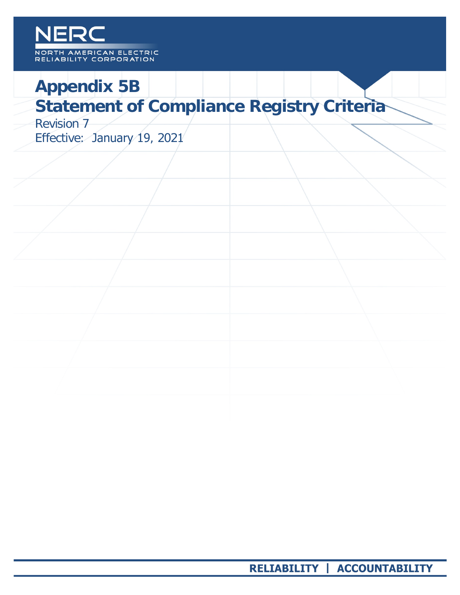### NERC NORTH AMERICAN ELECTRIC RELIABILITY CORPORATION

# **Appendix 5B**

## **Statement of Compliance Registry Criteria**

Revision 7 Effective: January 19, 2021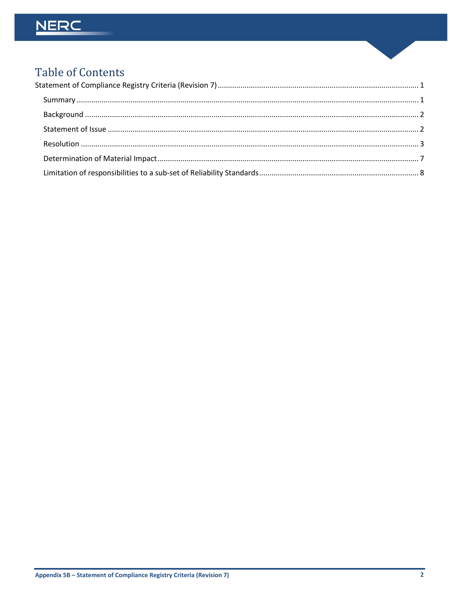## NERC

## **Table of Contents**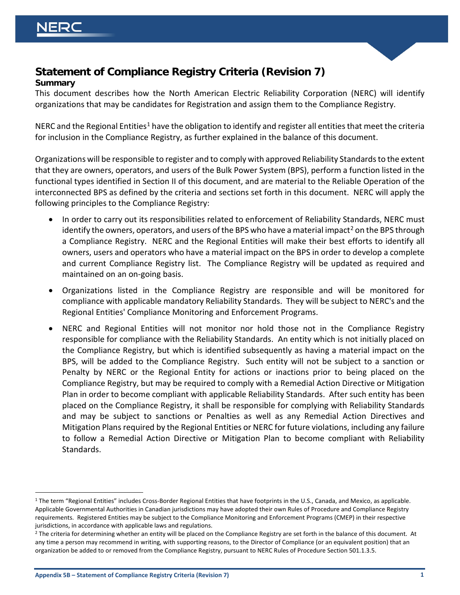

### <span id="page-2-0"></span>**Statement of Compliance Registry Criteria (Revision 7) Summary**

<span id="page-2-1"></span>This document describes how the North American Electric Reliability Corporation (NERC) will identify organizations that may be candidates for Registration and assign them to the Compliance Registry.

NERC and the Regional Entities<sup>[1](#page-2-2)</sup> have the obligation to identify and register all entities that meet the criteria for inclusion in the Compliance Registry, as further explained in the balance of this document.

Organizations will be responsible to register and to comply with approved Reliability Standards to the extent that they are owners, operators, and users of the Bulk Power System (BPS), perform a function listed in the functional types identified in Section II of this document, and are material to the Reliable Operation of the interconnected BPS as defined by the criteria and sections set forth in this document. NERC will apply the following principles to the Compliance Registry:

- In order to carry out its responsibilities related to enforcement of Reliability Standards, NERC must identify the owners, operators, and users of the BPS who have a material impact<sup>[2](#page-2-3)</sup> on the BPS through a Compliance Registry. NERC and the Regional Entities will make their best efforts to identify all owners, users and operators who have a material impact on the BPS in order to develop a complete and current Compliance Registry list. The Compliance Registry will be updated as required and maintained on an on-going basis.
- Organizations listed in the Compliance Registry are responsible and will be monitored for compliance with applicable mandatory Reliability Standards. They will be subject to NERC's and the Regional Entities' Compliance Monitoring and Enforcement Programs.
- NERC and Regional Entities will not monitor nor hold those not in the Compliance Registry responsible for compliance with the Reliability Standards. An entity which is not initially placed on the Compliance Registry, but which is identified subsequently as having a material impact on the BPS, will be added to the Compliance Registry. Such entity will not be subject to a sanction or Penalty by NERC or the Regional Entity for actions or inactions prior to being placed on the Compliance Registry, but may be required to comply with a Remedial Action Directive or Mitigation Plan in order to become compliant with applicable Reliability Standards. After such entity has been placed on the Compliance Registry, it shall be responsible for complying with Reliability Standards and may be subject to sanctions or Penalties as well as any Remedial Action Directives and Mitigation Plans required by the Regional Entities or NERC for future violations, including any failure to follow a Remedial Action Directive or Mitigation Plan to become compliant with Reliability Standards.

<span id="page-2-2"></span><sup>&</sup>lt;sup>1</sup> The term "Regional Entities" includes Cross-Border Regional Entities that have footprints in the U.S., Canada, and Mexico, as applicable. Applicable Governmental Authorities in Canadian jurisdictions may have adopted their own Rules of Procedure and Compliance Registry requirements. Registered Entities may be subject to the Compliance Monitoring and Enforcement Programs (CMEP) in their respective jurisdictions, in accordance with applicable laws and regulations.

<span id="page-2-3"></span><sup>&</sup>lt;sup>2</sup> The criteria for determining whether an entity will be placed on the Compliance Registry are set forth in the balance of this document. At any time a person may recommend in writing, with supporting reasons, to the Director of Compliance (or an equivalent position) that an organization be added to or removed from the Compliance Registry, pursuant to NERC Rules of Procedure Section 501.1.3.5.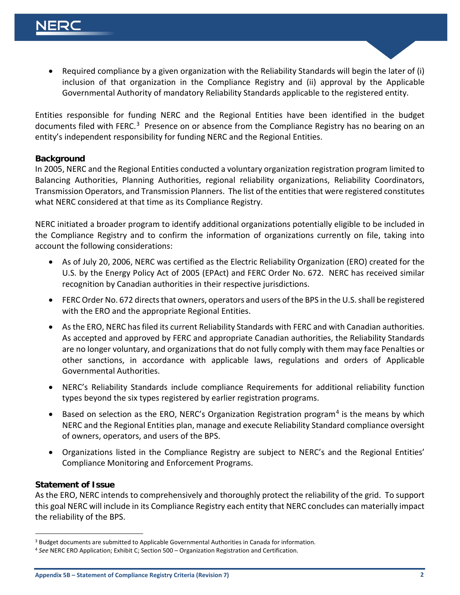• Required compliance by a given organization with the Reliability Standards will begin the later of (i) inclusion of that organization in the Compliance Registry and (ii) approval by the Applicable Governmental Authority of mandatory Reliability Standards applicable to the registered entity.

Entities responsible for funding NERC and the Regional Entities have been identified in the budget documents filed with FERC.<sup>3</sup> Presence on or absence from the Compliance Registry has no bearing on an entity's independent responsibility for funding NERC and the Regional Entities.

#### <span id="page-3-0"></span>**Background**

In 2005, NERC and the Regional Entities conducted a voluntary organization registration program limited to Balancing Authorities, Planning Authorities, regional reliability organizations, Reliability Coordinators, Transmission Operators, and Transmission Planners. The list of the entities that were registered constitutes what NERC considered at that time as its Compliance Registry.

NERC initiated a broader program to identify additional organizations potentially eligible to be included in the Compliance Registry and to confirm the information of organizations currently on file, taking into account the following considerations:

- As of July 20, 2006, NERC was certified as the Electric Reliability Organization (ERO) created for the U.S. by the Energy Policy Act of 2005 (EPAct) and FERC Order No. 672. NERC has received similar recognition by Canadian authorities in their respective jurisdictions.
- FERC Order No. 672 directs that owners, operators and users of the BPS in the U.S. shall be registered with the ERO and the appropriate Regional Entities.
- As the ERO, NERC has filed its current Reliability Standards with FERC and with Canadian authorities. As accepted and approved by FERC and appropriate Canadian authorities, the Reliability Standards are no longer voluntary, and organizations that do not fully comply with them may face Penalties or other sanctions, in accordance with applicable laws, regulations and orders of Applicable Governmental Authorities.
- NERC's Reliability Standards include compliance Requirements for additional reliability function types beyond the six types registered by earlier registration programs.
- Based on selection as the ERO, NERC's Organization Registration program<sup>[4](#page-3-3)</sup> is the means by which NERC and the Regional Entities plan, manage and execute Reliability Standard compliance oversight of owners, operators, and users of the BPS.
- Organizations listed in the Compliance Registry are subject to NERC's and the Regional Entities' Compliance Monitoring and Enforcement Programs.

#### <span id="page-3-1"></span>**Statement of Issue**

As the ERO, NERC intends to comprehensively and thoroughly protect the reliability of the grid. To support this goal NERC will include in its Compliance Registry each entity that NERC concludes can materially impact the reliability of the BPS.

<span id="page-3-2"></span><sup>&</sup>lt;sup>3</sup> Budget documents are submitted to Applicable Governmental Authorities in Canada for information.

<span id="page-3-3"></span><sup>4</sup> *See* NERC ERO Application; Exhibit C; Section 500 – Organization Registration and Certification.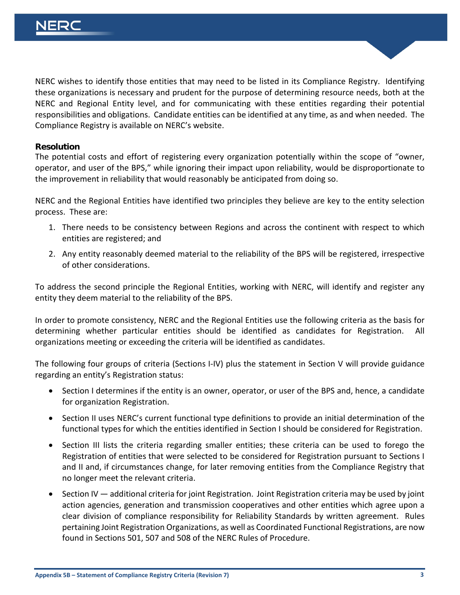NERC wishes to identify those entities that may need to be listed in its Compliance Registry. Identifying these organizations is necessary and prudent for the purpose of determining resource needs, both at the NERC and Regional Entity level, and for communicating with these entities regarding their potential responsibilities and obligations. Candidate entities can be identified at any time, as and when needed. The Compliance Registry is available on NERC's website.

#### <span id="page-4-0"></span>**Resolution**

The potential costs and effort of registering every organization potentially within the scope of "owner, operator, and user of the BPS," while ignoring their impact upon reliability, would be disproportionate to the improvement in reliability that would reasonably be anticipated from doing so.

NERC and the Regional Entities have identified two principles they believe are key to the entity selection process. These are:

- 1. There needs to be consistency between Regions and across the continent with respect to which entities are registered; and
- 2. Any entity reasonably deemed material to the reliability of the BPS will be registered, irrespective of other considerations.

To address the second principle the Regional Entities, working with NERC, will identify and register any entity they deem material to the reliability of the BPS.

In order to promote consistency, NERC and the Regional Entities use the following criteria as the basis for determining whether particular entities should be identified as candidates for Registration. All organizations meeting or exceeding the criteria will be identified as candidates.

The following four groups of criteria (Sections I-IV) plus the statement in Section V will provide guidance regarding an entity's Registration status:

- Section I determines if the entity is an owner, operator, or user of the BPS and, hence, a candidate for organization Registration.
- Section II uses NERC's current functional type definitions to provide an initial determination of the functional types for which the entities identified in Section I should be considered for Registration.
- Section III lists the criteria regarding smaller entities; these criteria can be used to forego the Registration of entities that were selected to be considered for Registration pursuant to Sections I and II and, if circumstances change, for later removing entities from the Compliance Registry that no longer meet the relevant criteria.
- Section IV additional criteria for joint Registration. Joint Registration criteria may be used by joint action agencies, generation and transmission cooperatives and other entities which agree upon a clear division of compliance responsibility for Reliability Standards by written agreement. Rules pertaining Joint Registration Organizations, as well as Coordinated Functional Registrations, are now found in Sections 501, 507 and 508 of the NERC Rules of Procedure.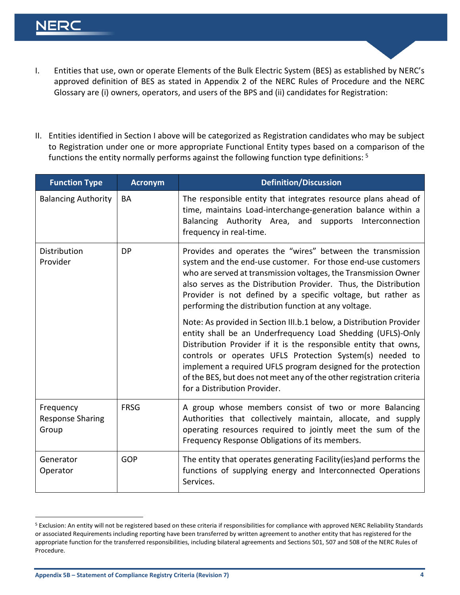## NER(

- I. Entities that use, own or operate Elements of the Bulk Electric System (BES) as established by NERC's approved definition of BES as stated in Appendix 2 of the NERC Rules of Procedure and the NERC Glossary are (i) owners, operators, and users of the BPS and (ii) candidates for Registration:
- II. Entities identified in Section I above will be categorized as Registration candidates who may be subject to Registration under one or more appropriate Functional Entity types based on a comparison of the functions the entity normally performs against the following function type definitions: [5](#page-5-0)

| <b>Function Type</b>                          | <b>Acronym</b> | <b>Definition/Discussion</b>                                                                                                                                                                                                                                                                                                                                                                                                                                                                                                                                                                                                                                                                                                                                                                                                             |
|-----------------------------------------------|----------------|------------------------------------------------------------------------------------------------------------------------------------------------------------------------------------------------------------------------------------------------------------------------------------------------------------------------------------------------------------------------------------------------------------------------------------------------------------------------------------------------------------------------------------------------------------------------------------------------------------------------------------------------------------------------------------------------------------------------------------------------------------------------------------------------------------------------------------------|
| <b>Balancing Authority</b>                    | <b>BA</b>      | The responsible entity that integrates resource plans ahead of<br>time, maintains Load-interchange-generation balance within a<br>Balancing Authority Area, and supports<br>Interconnection<br>frequency in real-time.                                                                                                                                                                                                                                                                                                                                                                                                                                                                                                                                                                                                                   |
| Distribution<br>Provider                      | <b>DP</b>      | Provides and operates the "wires" between the transmission<br>system and the end-use customer. For those end-use customers<br>who are served at transmission voltages, the Transmission Owner<br>also serves as the Distribution Provider. Thus, the Distribution<br>Provider is not defined by a specific voltage, but rather as<br>performing the distribution function at any voltage.<br>Note: As provided in Section III.b.1 below, a Distribution Provider<br>entity shall be an Underfrequency Load Shedding (UFLS)-Only<br>Distribution Provider if it is the responsible entity that owns,<br>controls or operates UFLS Protection System(s) needed to<br>implement a required UFLS program designed for the protection<br>of the BES, but does not meet any of the other registration criteria<br>for a Distribution Provider. |
| Frequency<br><b>Response Sharing</b><br>Group | <b>FRSG</b>    | A group whose members consist of two or more Balancing<br>Authorities that collectively maintain, allocate, and supply<br>operating resources required to jointly meet the sum of the<br>Frequency Response Obligations of its members.                                                                                                                                                                                                                                                                                                                                                                                                                                                                                                                                                                                                  |
| Generator<br>Operator                         | GOP            | The entity that operates generating Facility (ies) and performs the<br>functions of supplying energy and Interconnected Operations<br>Services.                                                                                                                                                                                                                                                                                                                                                                                                                                                                                                                                                                                                                                                                                          |

<span id="page-5-0"></span><sup>&</sup>lt;sup>5</sup> Exclusion: An entity will not be registered based on these criteria if responsibilities for compliance with approved NERC Reliability Standards or associated Requirements including reporting have been transferred by written agreement to another entity that has registered for the appropriate function for the transferred responsibilities, including bilateral agreements and Sections 501, 507 and 508 of the NERC Rules of Procedure.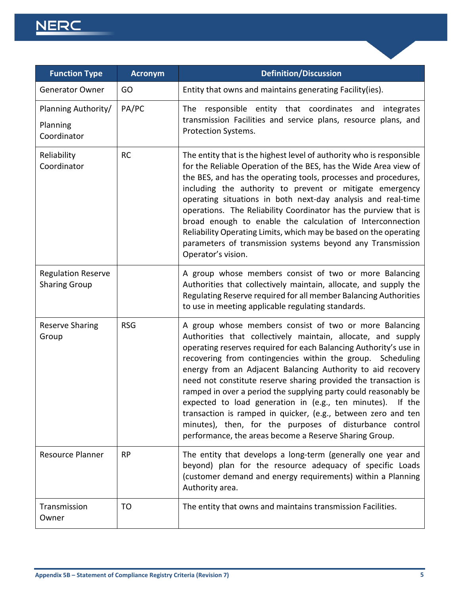## NERC

| <b>Function Type</b>                              | <b>Acronym</b> | <b>Definition/Discussion</b>                                                                                                                                                                                                                                                                                                                                                                                                                                                                                                                                                                                                                                                                                       |
|---------------------------------------------------|----------------|--------------------------------------------------------------------------------------------------------------------------------------------------------------------------------------------------------------------------------------------------------------------------------------------------------------------------------------------------------------------------------------------------------------------------------------------------------------------------------------------------------------------------------------------------------------------------------------------------------------------------------------------------------------------------------------------------------------------|
| <b>Generator Owner</b>                            | GO             | Entity that owns and maintains generating Facility(ies).                                                                                                                                                                                                                                                                                                                                                                                                                                                                                                                                                                                                                                                           |
| Planning Authority/<br>Planning<br>Coordinator    | PA/PC          | The responsible entity that coordinates and<br>integrates<br>transmission Facilities and service plans, resource plans, and<br>Protection Systems.                                                                                                                                                                                                                                                                                                                                                                                                                                                                                                                                                                 |
| Reliability<br>Coordinator                        | <b>RC</b>      | The entity that is the highest level of authority who is responsible<br>for the Reliable Operation of the BES, has the Wide Area view of<br>the BES, and has the operating tools, processes and procedures,<br>including the authority to prevent or mitigate emergency<br>operating situations in both next-day analysis and real-time<br>operations. The Reliability Coordinator has the purview that is<br>broad enough to enable the calculation of Interconnection<br>Reliability Operating Limits, which may be based on the operating<br>parameters of transmission systems beyond any Transmission<br>Operator's vision.                                                                                   |
| <b>Regulation Reserve</b><br><b>Sharing Group</b> |                | A group whose members consist of two or more Balancing<br>Authorities that collectively maintain, allocate, and supply the<br>Regulating Reserve required for all member Balancing Authorities<br>to use in meeting applicable regulating standards.                                                                                                                                                                                                                                                                                                                                                                                                                                                               |
| <b>Reserve Sharing</b><br>Group                   | <b>RSG</b>     | A group whose members consist of two or more Balancing<br>Authorities that collectively maintain, allocate, and supply<br>operating reserves required for each Balancing Authority's use in<br>recovering from contingencies within the group. Scheduling<br>energy from an Adjacent Balancing Authority to aid recovery<br>need not constitute reserve sharing provided the transaction is<br>ramped in over a period the supplying party could reasonably be<br>expected to load generation in (e.g., ten minutes). If the<br>transaction is ramped in quicker, (e.g., between zero and ten<br>minutes), then, for the purposes of disturbance control<br>performance, the areas become a Reserve Sharing Group. |
| <b>Resource Planner</b>                           | <b>RP</b>      | The entity that develops a long-term (generally one year and<br>beyond) plan for the resource adequacy of specific Loads<br>(customer demand and energy requirements) within a Planning<br>Authority area.                                                                                                                                                                                                                                                                                                                                                                                                                                                                                                         |
| Transmission<br>Owner                             | TO             | The entity that owns and maintains transmission Facilities.                                                                                                                                                                                                                                                                                                                                                                                                                                                                                                                                                                                                                                                        |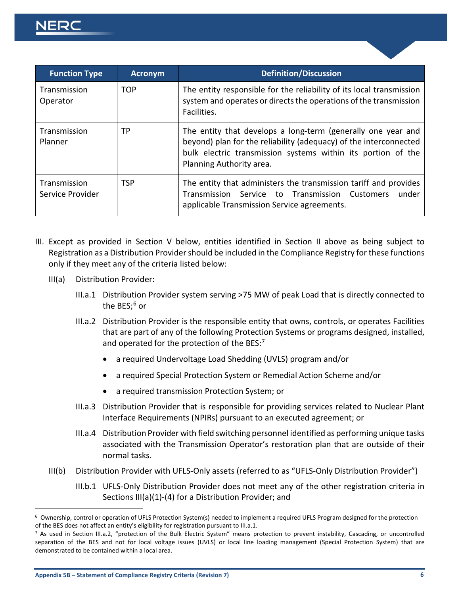| <b>Function Type</b>             | <b>Acronym</b> | <b>Definition/Discussion</b>                                                                                                                                                                                                  |
|----------------------------------|----------------|-------------------------------------------------------------------------------------------------------------------------------------------------------------------------------------------------------------------------------|
| Transmission<br>Operator         | <b>TOP</b>     | The entity responsible for the reliability of its local transmission<br>system and operates or directs the operations of the transmission<br>Facilities.                                                                      |
| Transmission<br>Planner          | TP.            | The entity that develops a long-term (generally one year and<br>beyond) plan for the reliability (adequacy) of the interconnected<br>bulk electric transmission systems within its portion of the<br>Planning Authority area. |
| Transmission<br>Service Provider | TSP            | The entity that administers the transmission tariff and provides<br>Transmission Service to Transmission Customers<br>under<br>applicable Transmission Service agreements.                                                    |

- III. Except as provided in Section V below, entities identified in Section II above as being subject to Registration as a Distribution Provider should be included in the Compliance Registry for these functions only if they meet any of the criteria listed below:
	- III(a) Distribution Provider:
		- III.a.1 Distribution Provider system serving >75 MW of peak Load that is directly connected to the BES; [6](#page-7-0) or
		- III.a.2 Distribution Provider is the responsible entity that owns, controls, or operates Facilities that are part of any of the following Protection Systems or programs designed, installed, and operated for the protection of the BES:[7](#page-7-1)
			- a required Undervoltage Load Shedding (UVLS) program and/or
			- a required Special Protection System or Remedial Action Scheme and/or
			- a required transmission Protection System; or
		- III.a.3 Distribution Provider that is responsible for providing services related to Nuclear Plant Interface Requirements (NPIRs) pursuant to an executed agreement; or
		- III.a.4 Distribution Provider with field switching personnel identified as performing unique tasks associated with the Transmission Operator's restoration plan that are outside of their normal tasks.
	- III(b) Distribution Provider with UFLS-Only assets (referred to as "UFLS-Only Distribution Provider")
		- III.b.1 UFLS-Only Distribution Provider does not meet any of the other registration criteria in Sections III(a)(1)-(4) for a Distribution Provider; and

<span id="page-7-0"></span><sup>6</sup> Ownership, control or operation of UFLS Protection System(s) needed to implement a required UFLS Program designed for the protection of the BES does not affect an entity's eligibility for registration pursuant to III.a.1.<br><sup>7</sup> As used in Section III.a.2, "protection of the Bulk Electric System" means protection to prevent instability, Cascading, or uncon

<span id="page-7-1"></span>separation of the BES and not for local voltage issues (UVLS) or local line loading management (Special Protection System) that are demonstrated to be contained within a local area.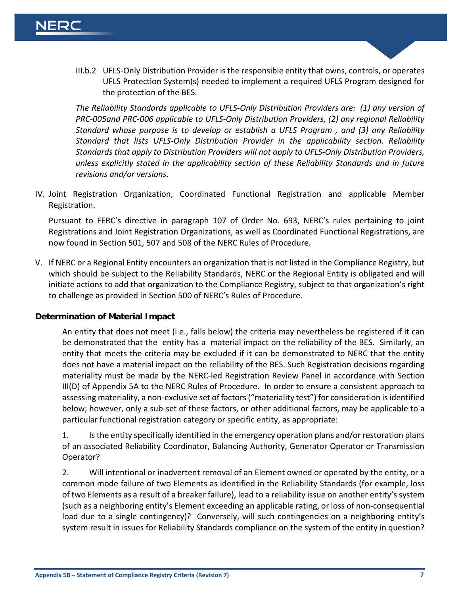III.b.2 UFLS-Only Distribution Provider is the responsible entity that owns, controls, or operates UFLS Protection System(s) needed to implement a required UFLS Program designed for the protection of the BES.

*The Reliability Standards applicable to UFLS-Only Distribution Providers are: (1) any version of PRC-005and PRC-006 applicable to UFLS-Only Distribution Providers, (2) any regional Reliability Standard whose purpose is to develop or establish a UFLS Program , and (3) any Reliability Standard that lists UFLS-Only Distribution Provider in the applicability section. Reliability Standards that apply to Distribution Providers will not apply to UFLS-Only Distribution Providers, unless explicitly stated in the applicability section of these Reliability Standards and in future revisions and/or versions.* 

IV. Joint Registration Organization, Coordinated Functional Registration and applicable Member Registration.

Pursuant to FERC's directive in paragraph 107 of Order No. 693, NERC's rules pertaining to joint Registrations and Joint Registration Organizations, as well as Coordinated Functional Registrations, are now found in Section 501, 507 and 508 of the NERC Rules of Procedure.

V. If NERC or a Regional Entity encounters an organization that is not listed in the Compliance Registry, but which should be subject to the Reliability Standards, NERC or the Regional Entity is obligated and will initiate actions to add that organization to the Compliance Registry, subject to that organization's right to challenge as provided in Section 500 of NERC's Rules of Procedure.

#### <span id="page-8-0"></span>**Determination of Material Impact**

An entity that does not meet (i.e., falls below) the criteria may nevertheless be registered if it can be demonstrated that the entity has a material impact on the reliability of the BES. Similarly, an entity that meets the criteria may be excluded if it can be demonstrated to NERC that the entity does not have a material impact on the reliability of the BES. Such Registration decisions regarding materiality must be made by the NERC-led Registration Review Panel in accordance with Section III(D) of Appendix 5A to the NERC Rules of Procedure. In order to ensure a consistent approach to assessing materiality, a non-exclusive set of factors("materiality test") for consideration is identified below; however, only a sub-set of these factors, or other additional factors, may be applicable to a particular functional registration category or specific entity, as appropriate:

1. Is the entity specifically identified in the emergency operation plans and/or restoration plans of an associated Reliability Coordinator, Balancing Authority, Generator Operator or Transmission Operator?

2. Will intentional or inadvertent removal of an Element owned or operated by the entity, or a common mode failure of two Elements as identified in the Reliability Standards (for example, loss of two Elements as a result of a breaker failure), lead to a reliability issue on another entity's system (such as a neighboring entity's Element exceeding an applicable rating, or loss of non-consequential load due to a single contingency)? Conversely, will such contingencies on a neighboring entity's system result in issues for Reliability Standards compliance on the system of the entity in question?